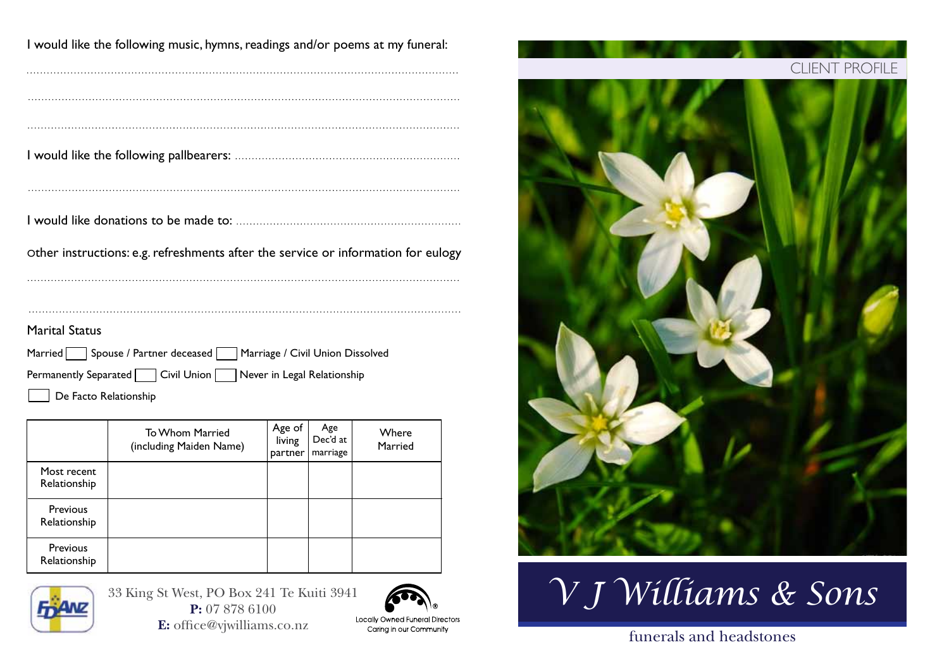| I would like the following music, hymns, readings and/or poems at my funeral:     |
|-----------------------------------------------------------------------------------|
|                                                                                   |
|                                                                                   |
|                                                                                   |
|                                                                                   |
| Other instructions: e.g. refreshments after the service or information for eulogy |
|                                                                                   |
|                                                                                   |
| <b>Marital Status</b>                                                             |
| Married Spouse / Partner deceased Marriage / Civil Union Dissolved                |
| Permanently Separated   Civil Union   Never in Legal Relationship                 |

De Facto Relationship

|                                 | To Whom Married<br>(including Maiden Name) | Age of<br>living<br>partner | Age<br>Dec'd at<br>marriage | Where<br>Married |
|---------------------------------|--------------------------------------------|-----------------------------|-----------------------------|------------------|
| Most recent<br>Relationship     |                                            |                             |                             |                  |
| <b>Previous</b><br>Relationship |                                            |                             |                             |                  |
| <b>Previous</b><br>Relationship |                                            |                             |                             |                  |



 $33$  King St West, PO Box 241 Te Kuiti  $394$ **P:** 07 878 6100 **E:** office@vjwilliams.co.nz





*V J Williams & Sons*

## funerals and headstones